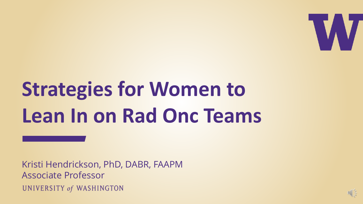

# **Strategies for Women to Lean In on Rad Onc Teams**

Kristi Hendrickson, PhD, DABR, FAAPM Associate Professor UNIVERSITY of WASHINGTON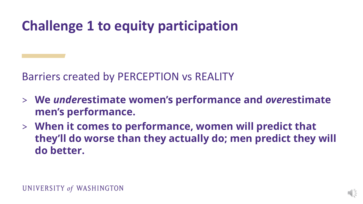## **Challenge 1 to equity participation**

Barriers created by PERCEPTION vs REALITY

- > **We** *under***estimate women's performance and** *over***estimate men's performance.**
- > **When it comes to performance, women will predict that they'll do worse than they actually do; men predict they will do better.**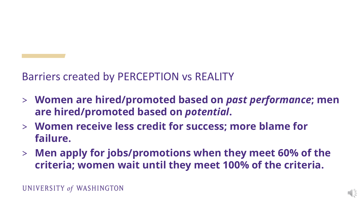#### Barriers created by PERCEPTION vs REALITY

- > **Women are hired/promoted based on** *past performance***; men are hired/promoted based on** *potential***.**
- > **Women receive less credit for success; more blame for failure.**
- > **Men apply for jobs/promotions when they meet 60% of the criteria; women wait until they meet 100% of the criteria.**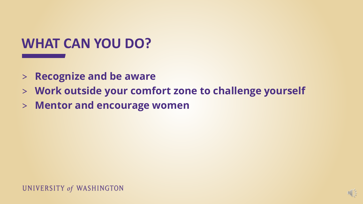### **WHAT CAN YOU DO?**

- > **Recognize and be aware**
- > **Work outside your comfort zone to challenge yourself**
- > **Mentor and encourage women**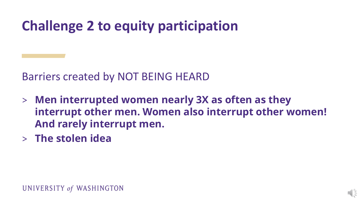## **Challenge 2 to equity participation**

Barriers created by NOT BEING HEARD

- > **Men interrupted women nearly 3X as often as they interrupt other men. Women also interrupt other women! And rarely interrupt men.**
- > **The stolen idea**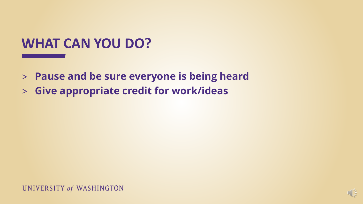### **WHAT CAN YOU DO?**

- > **Pause and be sure everyone is being heard**
- > **Give appropriate credit for work/ideas**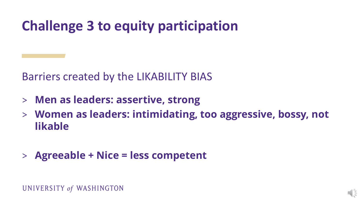## **Challenge 3 to equity participation**

Barriers created by the LIKABILITY BIAS

- > **Men as leaders: assertive, strong**
- > **Women as leaders: intimidating, too aggressive, bossy, not likable**
- > **Agreeable + Nice = less competent**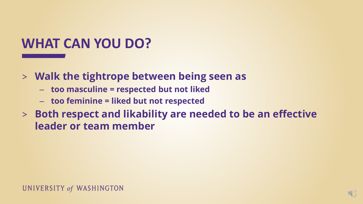## **WHAT CAN YOU DO?**

- > **Walk the tightrope between being seen as** 
	- **too masculine = respected but not liked**
	- **too feminine = liked but not respected**
- > **Both respect and likability are needed to be an effective leader or team member**